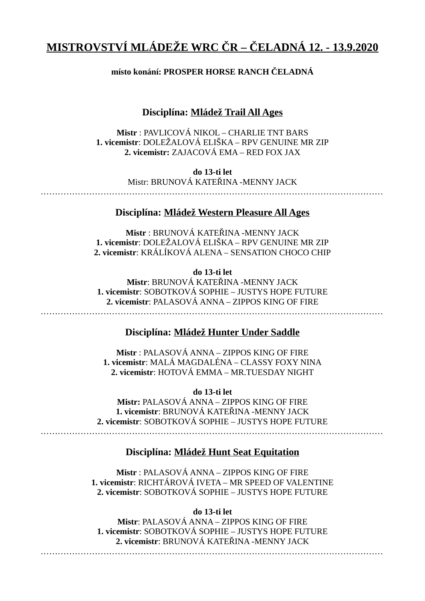# **MISTROVSTVÍ MLÁDEŽE WRC ČR – ČELADNÁ 12. - 13.9.2020**

# **místo konání: PROSPER HORSE RANCH ČELADNÁ**

# **Disciplína: Mládež Trail All Ages**

**Mistr** : PAVLICOVÁ NIKOL – CHARLIE TNT BARS **1. vicemistr**: DOLEŽALOVÁ ELIŠKA – RPV GENUINE MR ZIP **2. vicemistr:** ZAJACOVÁ EMA – RED FOX JAX

> **do 13-ti let** Mistr: BRUNOVÁ KATEŘINA -MENNY JACK

…………………………………………………………………………………………………………

### **Disciplína: Mládež Western Pleasure All Ages**

**Mistr** : BRUNOVÁ KATEŘINA -MENNY JACK **1. vicemistr**: DOLEŽALOVÁ ELIŠKA – RPV GENUINE MR ZIP **2. vicemistr**: KRÁLÍKOVÁ ALENA – SENSATION CHOCO CHIP

**do 13-ti let**

**Mistr**: BRUNOVÁ KATEŘINA -MENNY JACK **1. vicemistr**: SOBOTKOVÁ SOPHIE – JUSTYS HOPE FUTURE **2. vicemistr**: PALASOVÁ ANNA – ZIPPOS KING OF FIRE

### …………………………………………………………………………………………………………

# **Disciplína: Mládež Hunter Under Saddle**

**Mistr** : PALASOVÁ ANNA – ZIPPOS KING OF FIRE **1. vicemistr**: MALÁ MAGDALÉNA – CLASSY FOXY NINA **2. vicemistr**: HOTOVÁ EMMA – MR.TUESDAY NIGHT

**do 13-ti let Mistr:** PALASOVÁ ANNA – ZIPPOS KING OF FIRE **1. vicemistr**: BRUNOVÁ KATEŘINA -MENNY JACK **2. vicemistr**: SOBOTKOVÁ SOPHIE – JUSTYS HOPE FUTURE …………………………………………………………………………………………………………

# **Disciplína: Mládež Hunt Seat Equitation**

**Mistr** : PALASOVÁ ANNA – ZIPPOS KING OF FIRE **1. vicemistr**: RICHTÁROVÁ IVETA – MR SPEED OF VALENTINE **2. vicemistr**: SOBOTKOVÁ SOPHIE – JUSTYS HOPE FUTURE

#### **do 13-ti let**

**Mistr**: PALASOVÁ ANNA – ZIPPOS KING OF FIRE **1. vicemistr**: SOBOTKOVÁ SOPHIE – JUSTYS HOPE FUTURE **2. vicemistr**: BRUNOVÁ KATEŘINA -MENNY JACK

…………………………………………………………………………………………………………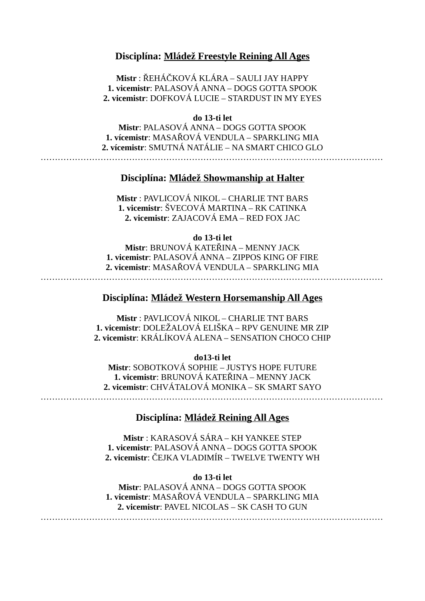### **Disciplína: Mládež Freestyle Reining All Ages**

**Mistr** : ŘEHÁČKOVÁ KLÁRA – SAULI JAY HAPPY **1. vicemistr**: PALASOVÁ ANNA – DOGS GOTTA SPOOK **2. vicemistr**: DOFKOVÁ LUCIE – STARDUST IN MY EYES

#### **do 13-ti let**

**Mistr**: PALASOVÁ ANNA – DOGS GOTTA SPOOK **1. vícemistr**: MASAŘOVÁ VENDULA – SPARKLING MIA **2. vícemistr**: SMUTNÁ NATÁLIE – NA SMART CHICO GLO …………………………………………………………………………………………………………

### **Disciplína: Mládež Showmanship at Halter**

**Mistr** : PAVLICOVÁ NIKOL – CHARLIE TNT BARS **1. vicemistr**: ŠVECOVÁ MARTINA – RK CATINKA **2. vicemistr**: ZAJACOVÁ EMA – RED FOX JAC

#### **do 13-ti let**

**Mistr**: BRUNOVÁ KATEŘINA – MENNY JACK **1. vicemistr**: PALASOVÁ ANNA – ZIPPOS KING OF FIRE **2. vicemistr**: MASAŘOVÁ VENDULA – SPARKLING MIA

…………………………………………………………………………………………………………

# **Disciplína: Mládež Western Horsemanship All Ages**

**Mistr** : PAVLICOVÁ NIKOL – CHARLIE TNT BARS **1. vicemistr**: DOLEŽALOVÁ ELIŠKA – RPV GENUINE MR ZIP **2. vicemistr**: KRÁLÍKOVÁ ALENA – SENSATION CHOCO CHIP

#### **do13-ti let**

**Mistr**: SOBOTKOVÁ SOPHIE – JUSTYS HOPE FUTURE **1. vicemistr**: BRUNOVÁ KATEŘINA – MENNY JACK **2. vicemistr**: CHVÁTALOVÁ MONIKA – SK SMART SAYO

### **Disciplína: Mládež Reining All Ages**

**Mistr** : KARASOVÁ SÁRA – KH YANKEE STEP **1. vicemistr**: PALASOVÁ ANNA – DOGS GOTTA SPOOK **2. vicemistr**: ČEJKA VLADIMÍR – TWELVE TWENTY WH

#### **do 13-ti let**

**Mistr**: PALASOVÁ ANNA – DOGS GOTTA SPOOK **1. vicemistr**: MASAŘOVÁ VENDULA – SPARKLING MIA **2. vicemistr**: PAVEL NICOLAS – SK CASH TO GUN …………………………………………………………………………………………………………